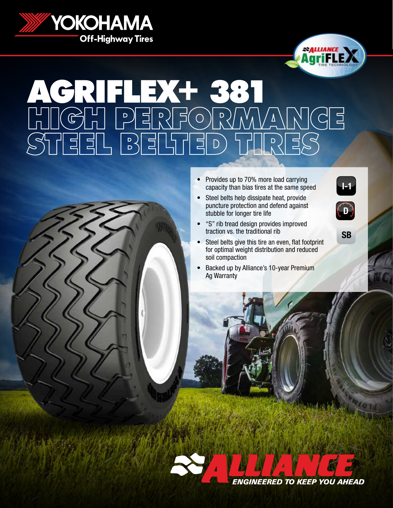



## ARIELEXHE38 HIGH PERFORMANCE STEEL BELTED TIRES

- Provides up to 70% more load carrying capacity than bias tires at the same speed
- Steel belts help dissipate heat, provide puncture protection and defend against stubble for longer tire life
- "S" rib tread design provides improved traction vs. the traditional rib
- Steel belts give this tire an even, flat footprint for optimal weight distribution and reduced soil compaction
- Backed up by Alliance's 10-year Premium Ag Warranty





## SB